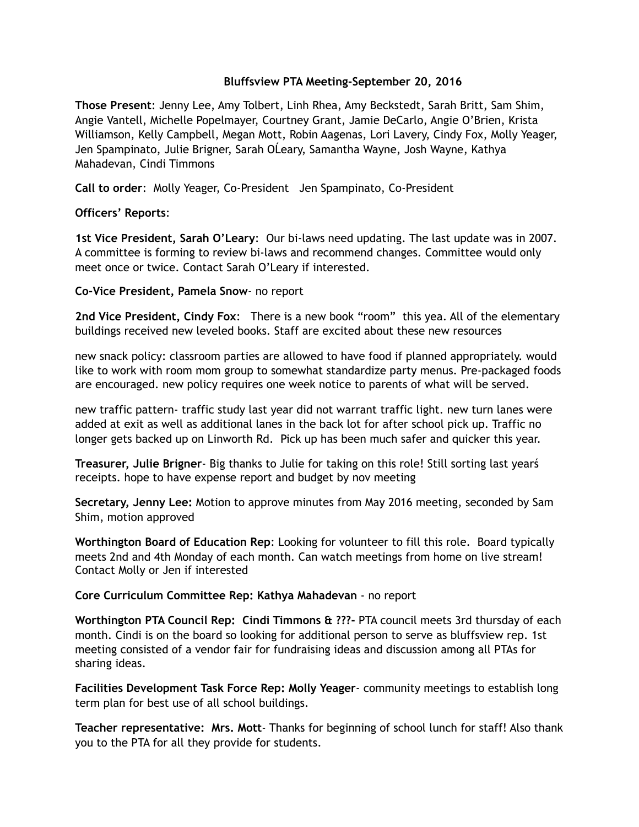# **Bluffsview PTA Meeting-September 20, 2016**

**Those Present**: Jenny Lee, Amy Tolbert, Linh Rhea, Amy Beckstedt, Sarah Britt, Sam Shim, Angie Vantell, Michelle Popelmayer, Courtney Grant, Jamie DeCarlo, Angie O'Brien, Krista Williamson, Kelly Campbell, Megan Mott, Robin Aagenas, Lori Lavery, Cindy Fox, Molly Yeager, Jen Spampinato, Julie Brigner, Sarah OĹeary, Samantha Wayne, Josh Wayne, Kathya Mahadevan, Cindi Timmons

**Call to order**: Molly Yeager, Co-President Jen Spampinato, Co-President

## **Officers' Reports**:

**1st Vice President, Sarah O'Leary**: Our bi-laws need updating. The last update was in 2007. A committee is forming to review bi-laws and recommend changes. Committee would only meet once or twice. Contact Sarah O'Leary if interested.

## **Co-Vice President, Pamela Snow**- no report

**2nd Vice President, Cindy Fox**: There is a new book "room" this yea. All of the elementary buildings received new leveled books. Staff are excited about these new resources

new snack policy: classroom parties are allowed to have food if planned appropriately. would like to work with room mom group to somewhat standardize party menus. Pre-packaged foods are encouraged. new policy requires one week notice to parents of what will be served.

new traffic pattern- traffic study last year did not warrant traffic light. new turn lanes were added at exit as well as additional lanes in the back lot for after school pick up. Traffic no longer gets backed up on Linworth Rd. Pick up has been much safer and quicker this year.

**Treasurer, Julie Brigner**- Big thanks to Julie for taking on this role! Still sorting last yearś receipts. hope to have expense report and budget by nov meeting

**Secretary, Jenny Lee:** Motion to approve minutes from May 2016 meeting, seconded by Sam Shim, motion approved

**Worthington Board of Education Rep**: Looking for volunteer to fill this role. Board typically meets 2nd and 4th Monday of each month. Can watch meetings from home on live stream! Contact Molly or Jen if interested

#### **Core Curriculum Committee Rep: Kathya Mahadevan** - no report

**Worthington PTA Council Rep: Cindi Timmons & ???-** PTA council meets 3rd thursday of each month. Cindi is on the board so looking for additional person to serve as bluffsview rep. 1st meeting consisted of a vendor fair for fundraising ideas and discussion among all PTAs for sharing ideas.

**Facilities Development Task Force Rep: Molly Yeager**- community meetings to establish long term plan for best use of all school buildings.

**Teacher representative: Mrs. Mott**- Thanks for beginning of school lunch for staff! Also thank you to the PTA for all they provide for students.